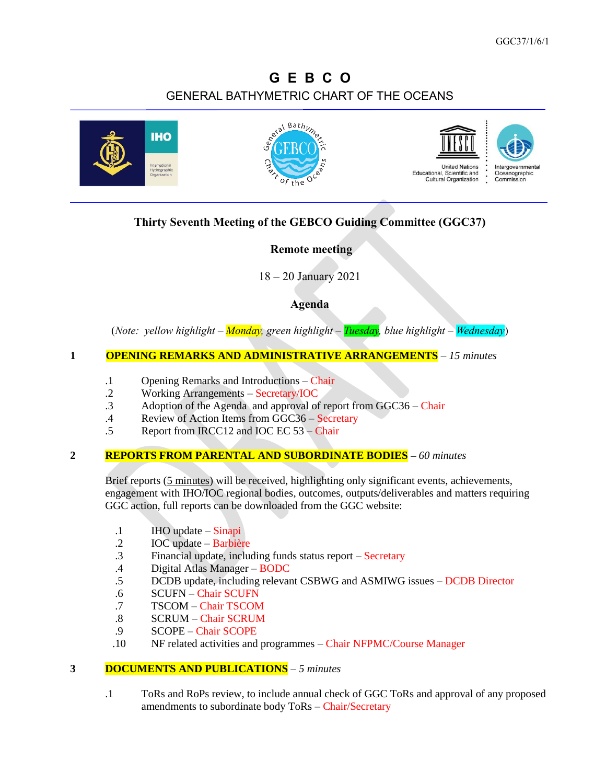# **G E B C O** GENERAL BATHYMETRIC CHART OF THE OCEANS



# **Thirty Seventh Meeting of the GEBCO Guiding Committee (GGC37)**

## **Remote meeting**

18 – 20 January 2021

# **Agenda**

(*Note: yellow highlight – Monday, green highlight – Tuesday, blue highlight – Wednesday*)

## **1 OPENING REMARKS AND ADMINISTRATIVE ARRANGEMENTS** – *15 minutes*

- .1 Opening Remarks and Introductions Chair
- .2 Working Arrangements Secretary/IOC
- .3 Adoption of the Agenda and approval of report from GGC36 Chair
- .4 Review of Action Items from GGC36 Secretary<br>
5 Report from IRCC12 and IOC EC 53 Chair
- Report from IRCC12 and IOC EC 53 Chair

## **2 REPORTS FROM PARENTAL AND SUBORDINATE BODIES –** *60 minutes*

Brief reports (5 minutes) will be received, highlighting only significant events, achievements, engagement with IHO/IOC regional bodies, outcomes, outputs/deliverables and matters requiring GGC action, full reports can be downloaded from the GGC website:

- .1 IHO update Sinapi
- .2 IOC update Barbière
- .3 Financial update, including funds status report Secretary
- .4 Digital Atlas Manager BODC
- .5 DCDB update, including relevant CSBWG and ASMIWG issues DCDB Director
- .6 SCUFN Chair SCUFN
- .7 TSCOM Chair TSCOM
- .8 SCRUM Chair SCRUM
- .9 SCOPE Chair SCOPE
- .10 NF related activities and programmes Chair NFPMC/Course Manager

#### **3 DOCUMENTS AND PUBLICATIONS** – *5 minutes*

.1 ToRs and RoPs review, to include annual check of GGC ToRs and approval of any proposed amendments to subordinate body ToRs – Chair/Secretary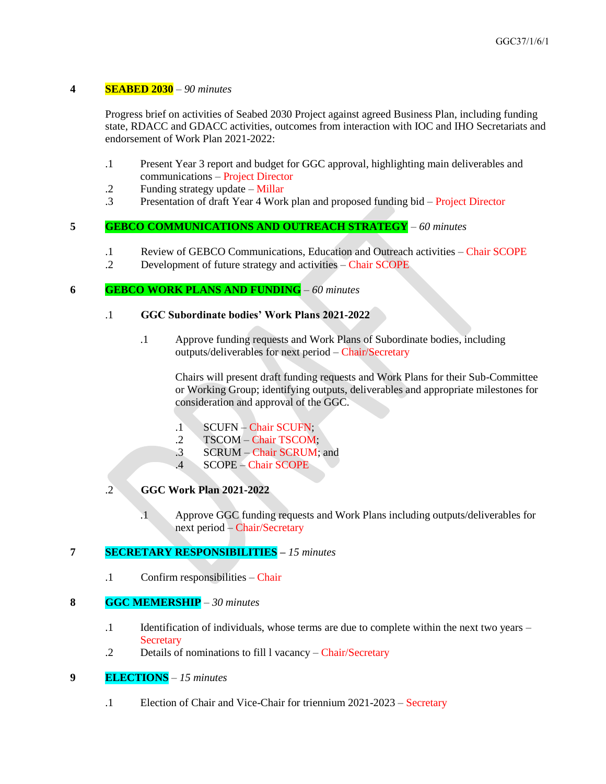#### **4 SEABED 2030** – *90 minutes*

Progress brief on activities of Seabed 2030 Project against agreed Business Plan, including funding state, RDACC and GDACC activities, outcomes from interaction with IOC and IHO Secretariats and endorsement of Work Plan 2021-2022:

- .1 Present Year 3 report and budget for GGC approval, highlighting main deliverables and communications – Project Director
- .2 Funding strategy update Millar
- .3 Presentation of draft Year 4 Work plan and proposed funding bid Project Director

## **5 GEBCO COMMUNICATIONS AND OUTREACH STRATEGY** – *60 minutes*

- .1 Review of GEBCO Communications, Education and Outreach activities Chair SCOPE
- .2 Development of future strategy and activities Chair SCOPE

#### **6 GEBCO WORK PLANS AND FUNDING** *– 60 minutes*

#### .1 **GGC Subordinate bodies' Work Plans 2021-2022**

.1 Approve funding requests and Work Plans of Subordinate bodies, including outputs/deliverables for next period – Chair/Secretary

Chairs will present draft funding requests and Work Plans for their Sub-Committee or Working Group; identifying outputs, deliverables and appropriate milestones for consideration and approval of the GGC.

- .1 SCUFN Chair SCUFN;
- .2 TSCOM Chair TSCOM;
- .3 SCRUM Chair SCRUM; and
- .4 SCOPE Chair SCOPE

# .2 **GGC Work Plan 2021-2022**

.1 Approve GGC funding requests and Work Plans including outputs/deliverables for next period – Chair/Secretary

## **7 SECRETARY RESPONSIBILITIES –** *15 minutes*

.1 Confirm responsibilities – Chair

#### **8 GGC MEMERSHIP** – *30 minutes*

- .1 Identification of individuals, whose terms are due to complete within the next two years **Secretary**
- .2 Details of nominations to fill l vacancy Chair/Secretary

## **9 ELECTIONS** *– 15 minutes*

.1 Election of Chair and Vice-Chair for triennium 2021-2023 – Secretary